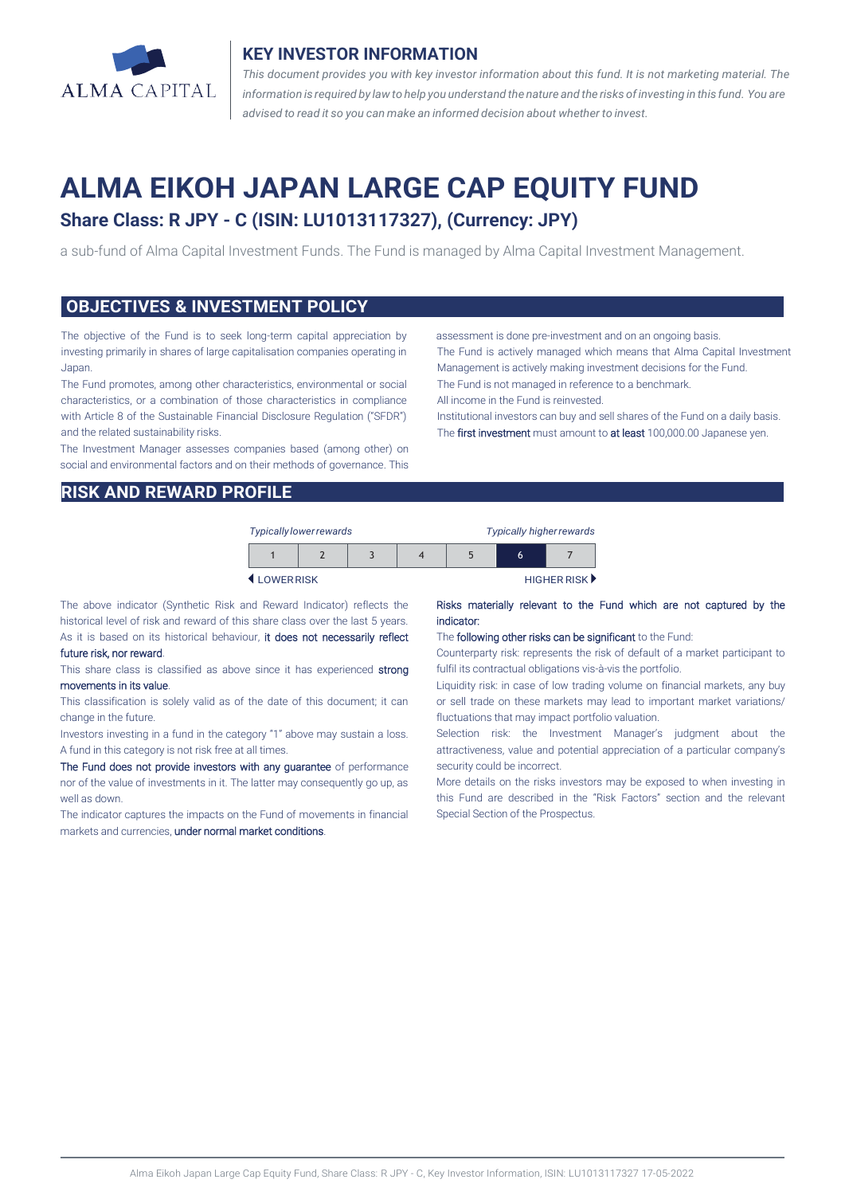

## **KEY INVESTOR INFORMATION**

*This document provides you with key investor information about this fund. It is not marketing material. The* information is required by law to help you understand the nature and the risks of investing in this fund. You are *advised to read it so you can make an informed decision about whether to invest.*

# **ALMA EIKOH JAPAN LARGE CAP EQUITY FUND Share Class: R JPY - C (ISIN: LU1013117327), (Currency: JPY)**

a sub-fund of Alma Capital Investment Funds. The Fund is managed by Alma Capital Investment Management.

## **OBJECTIVES & INVESTMENT POLICY**

The objective of the Fund is to seek long-term capital appreciation by investing primarily in shares of large capitalisation companies operating in Japan.

The Fund promotes, among other characteristics, environmental or social characteristics, or a combination of those characteristics in compliance with Article 8 of the Sustainable Financial Disclosure Regulation ("SFDR") and the related sustainability risks.

The Investment Manager assesses companies based (among other) on social and environmental factors and on their methods of governance. This assessment is done pre-investment and on an ongoing basis.

The Fund is actively managed which means that Alma Capital Investment Management is actively making investment decisions for the Fund. The Fund is not managed in reference to a benchmark.

All income in the Fund is reinvested.

Institutional investors can buy and sell shares of the Fund on a daily basis. The first investment must amount to at least 100,000.00 Japanese yen.

## **RISK AND REWARD PROFILE**

| Typically lower rewards |  |  |  | Typically higher rewards |   |             |
|-------------------------|--|--|--|--------------------------|---|-------------|
|                         |  |  |  |                          | 6 |             |
| <b>4 I OWERRISK</b>     |  |  |  |                          |   | HIGHER RISK |

The above indicator (Synthetic Risk and Reward Indicator) reflects the historical level of risk and reward of this share class over the last 5 years. As it is based on its historical behaviour, it does not necessarily reflect

### future risk, nor reward.

This share class is classified as above since it has experienced strong movements in its value.

This classification is solely valid as of the date of this document; it can change in the future.

Investors investing in a fund in the category "1" above may sustain a loss. A fund in this category is not risk free at all times.

The Fund does not provide investors with any guarantee of performance nor of the value of investments in it. The latter may consequently go up, as well as down.

The indicator captures the impacts on the Fund of movements in financial markets and currencies, under normal market conditions.

#### Risks materially relevant to the Fund which are not captured by the indicator:

#### The following other risks can be significant to the Fund:

Counterparty risk: represents the risk of default of a market participant to fulfil its contractual obligations vis-à-vis the portfolio.

Liquidity risk: in case of low trading volume on financial markets, any buy or sell trade on these markets may lead to important market variations/ fluctuations that may impact portfolio valuation.

Selection risk: the Investment Manager's judgment about the attractiveness, value and potential appreciation of a particular company's security could be incorrect.

More details on the risks investors may be exposed to when investing in this Fund are described in the "Risk Factors" section and the relevant Special Section of the Prospectus.